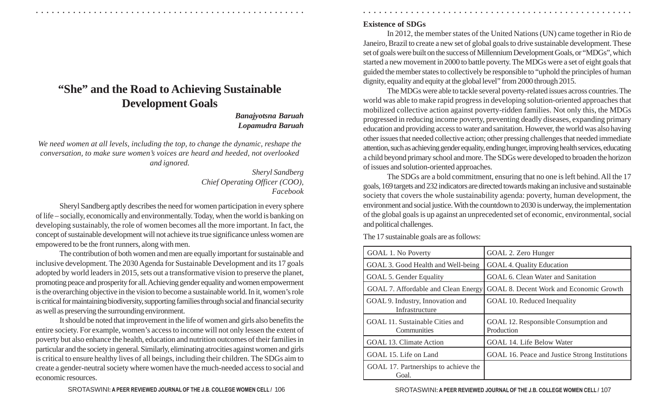# **"She" and the Road to Achieving Sustainable Development Goals**

*Banajyotsna Baruah Lopamudra Baruah*

*We need women at all levels, including the top, to change the dynamic, reshape the conversation, to make sure women's voices are heard and heeded, not overlooked and ignored.*

> *Sheryl Sandberg Chief Operating Officer (COO), Facebook*

Sheryl Sandberg aptly describes the need for women participation in every sphere of life – socially, economically and environmentally. Today, when the world is banking on developing sustainably, the role of women becomes all the more important. In fact, the concept of sustainable development will not achieve its true significance unless women are empowered to be the front runners, along with men.

The contribution of both women and men are equally important for sustainable and inclusive development. The 2030 Agenda for Sustainable Development and its 17 goals adopted by world leaders in 2015, sets out a transformative vision to preserve the planet, promoting peace and prosperity for all. Achieving gender equality and women empowerment is the overarching objective in the vision to become a sustainable world. In it, women's role is critical for maintaining biodiversity, supporting families through social and financial security as well as preserving the surrounding environment.

It should be noted that improvement in the life of women and girls also benefits the entire society. For example, women's access to income will not only lessen the extent of poverty but also enhance the health, education and nutrition outcomes of their families in particular and the society in general. Similarly, eliminating atrocities against women and girls is critical to ensure healthy lives of all beings, including their children. The SDGs aim to create a gender-neutral society where women have the much-needed access to social and economic resources.

## **Existence of SDGs**

○ ○ ○ ○ ○ ○ ○ ○ ○ ○ ○ ○ ○ ○ ○ ○ ○ ○ ○ ○ ○ ○ ○ ○ ○ ○ ○ ○ ○ ○ ○ ○ ○ ○ ○ ○ ○ ○ ○ ○ ○ ○ ○ ○ ○ ○ ○ ○ ○ ○ ○ ○ ○ ○ ○ ○ ○ ○ ○ ○ ○ ○ ○ ○ ○ ○ ○ ○ ○ ○ ○ ○ ○ ○ ○ ○ ○ ○ ○ ○ ○ ○ ○ ○ ○ ○ ○ ○ ○ ○ ○ ○ ○ ○ ○ ○ ○ ○ ○ ○ ○ ○

In 2012, the member states of the United Nations (UN) came together in Rio de Janeiro, Brazil to create a new set of global goals to drive sustainable development. These set of goals were built on the success of Millennium Development Goals, or "MDGs", which started a new movement in 2000 to battle poverty. The MDGs were a set of eight goals that guided the member states to collectively be responsible to "uphold the principles of human dignity, equality and equity at the global level" from 2000 through 2015.

The MDGs were able to tackle several poverty-related issues across countries. The world was able to make rapid progress in developing solution-oriented approaches that mobilized collective action against poverty-ridden families. Not only this, the MDGs progressed in reducing income poverty, preventing deadly diseases, expanding primary education and providing access to water and sanitation. However, the world was also having other issues that needed collective action; other pressing challenges that needed immediate attention, such as achieving gender equality, ending hunger, improving health services, educating a child beyond primary school and more. The SDGs were developed to broaden the horizon of issues and solution-oriented approaches.

The SDGs are a bold commitment, ensuring that no one is left behind. All the 17 goals, 169 targets and 232 indicators are directed towards making an inclusive and sustainable society that covers the whole sustainability agenda: poverty, human development, the environment and social justice. With the countdown to 2030 is underway, the implementation of the global goals is up against an unprecedented set of economic, environmental, social and political challenges.

The 17 sustainable goals are as follows:

| <b>GOAL 1. No Poverty</b>                          | GOAL 2. Zero Hunger                                |
|----------------------------------------------------|----------------------------------------------------|
| GOAL 3. Good Health and Well-being                 | <b>GOAL 4. Quality Education</b>                   |
| GOAL 5. Gender Equality                            | GOAL 6. Clean Water and Sanitation                 |
| GOAL 7. Affordable and Clean Energy                | GOAL 8. Decent Work and Economic Growth            |
| GOAL 9. Industry, Innovation and<br>Infrastructure | GOAL 10. Reduced Inequality                        |
| GOAL 11. Sustainable Cities and<br>Communities     | GOAL 12. Responsible Consumption and<br>Production |
| GOAL 13. Climate Action                            | GOAL 14. Life Below Water                          |
| GOAL 15. Life on Land                              | GOAL 16. Peace and Justice Strong Institutions     |
| GOAL 17. Partnerships to achieve the<br>Goal.      |                                                    |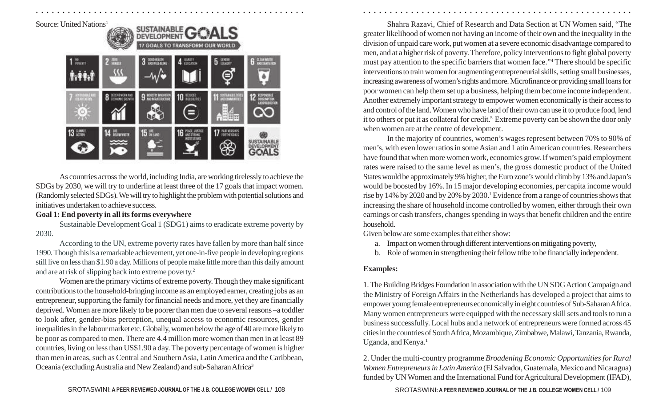Source: United Nations 1



As countries across the world, including India, are working tirelessly to achieve the SDGs by 2030, we will try to underline at least three of the 17 goals that impact women. (Randomly selected SDGs). We will try to highlight the problem with potential solutions and initiatives undertaken to achieve success.

### **Goal 1: End poverty in all its forms everywhere**

Sustainable Development Goal 1 (SDG1) aims to eradicate extreme poverty by 2030.

According to the UN, extreme poverty rates have fallen by more than half since 1990. Though this is a remarkable achievement, yet one-in-five people in developing regions still live on less than \$1.90 a day. Millions of people make little more than this daily amount and are at risk of slipping back into extreme poverty. 2

Women are the primary victims of extreme poverty. Though they make significant contributions to the household-bringing income as an employed earner, creating jobs as an entrepreneur, supporting the family for financial needs and more, yet they are financially deprived. Women are more likely to be poorer than men due to several reasons –a toddler to look after, gender-bias perception, unequal access to economic resources, gender inequalities in the labour market etc. Globally, women below the age of 40 are more likely to be poor as compared to men. There are 4.4 million more women than men in at least 89 countries, living on less than US\$1.90 a day. The poverty percentage of women is higher than men in areas, such as Central and Southern Asia, Latin America and the Caribbean, Oceania (excluding Australia and New Zealand) and sub-Saharan Africa 3

Shahra Razavi, Chief of Research and Data Section at UN Women said, "The greater likelihood of women not having an income of their own and the inequality in the division of unpaid care work, put women at a severe economic disadvantage compared to men, and at a higher risk of poverty. Therefore, policy interventions to fight global poverty must pay attention to the specific barriers that women face." <sup>4</sup> There should be specific interventions to train women for augmenting entrepreneurial skills, setting small businesses, increasing awareness of women's rights and more. Microfinance or providing small loans for poor women can help them set up a business, helping them become income independent. Another extremely important strategy to empower women economically is their access to and control of the land. Women who have land of their own can use it to produce food, lend it to others or put it as collateral for credit. <sup>5</sup> Extreme poverty can be shown the door only when women are at the centre of development.

In the majority of countries, women's wages represent between 70% to 90% of men's, with even lower ratios in some Asian and Latin American countries. Researchers have found that when more women work, economies grow. If women's paid employment rates were raised to the same level as men's, the gross domestic product of the United States would be approximately 9% higher, the Euro zone's would climb by 13% and Japan's would be boosted by 16%. In 15 major developing economies, per capita income would rise by 14% by 2020 and by 20% by 2030. <sup>1</sup> Evidence from a range of countries shows that increasing the share of household income controlled by women, either through their own earnings or cash transfers, changes spending in ways that benefit children and the entire household.

Given below are some examples that either show:

- a. Impact on women through different interventions on mitigating poverty,
- b. Role of women in strengthening their fellow tribe to be financially independent.

## **Examples:**

○ ○ ○ ○ ○ ○ ○ ○ ○ ○ ○ ○ ○ ○ ○ ○ ○ ○ ○ ○ ○ ○ ○ ○ ○ ○ ○ ○ ○ ○ ○ ○ ○ ○ ○ ○ ○ ○ ○ ○ ○ ○ ○ ○ ○ ○ ○ ○ ○ ○ ○ ○ ○ ○ ○ ○ ○ ○ ○ ○ ○ ○ ○ ○ ○ ○ ○ ○ ○ ○ ○ ○ ○ ○ ○ ○ ○ ○ ○ ○ ○ ○ ○ ○ ○ ○ ○ ○ ○ ○ ○ ○ ○ ○ ○ ○ ○ ○ ○ ○ ○ ○

1. The Building Bridges Foundation in association with the UN SDG Action Campaign and the Ministry of Foreign Affairs in the Netherlands has developed a project that aims to empower young female entrepreneurs economically in eight countries of Sub-Saharan Africa. Many women entrepreneurs were equipped with the necessary skill sets and tools to run a business successfully. Local hubs and a network of entrepreneurs were formed across 45 cities in the countries of South Africa, Mozambique, Zimbabwe, Malawi, Tanzania, Rwanda, Uganda, and Kenya. 1

2. Under the multi-country programme *Broadening Economic Opportunities for Rural Women Entrepreneurs in Latin America* (El Salvador, Guatemala, Mexico and Nicaragua) funded by UN Women and the International Fund for Agricultural Development (IFAD),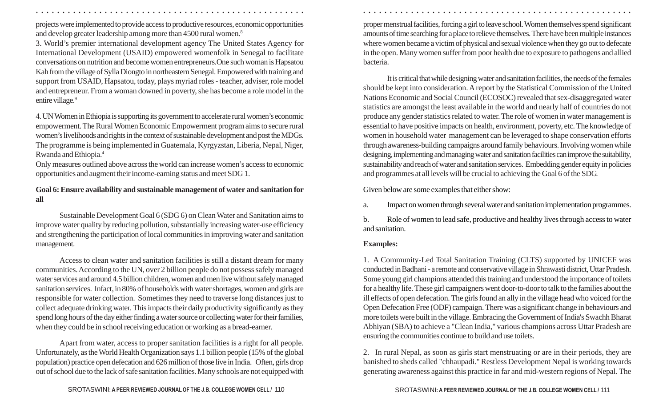projects were implemented to provide access to productive resources, economic opportunities and develop greater leadership among more than 4500 rural women. 8

3. World's premier international development agency The United States Agency for International Development (USAID) empowered womenfolk in Senegal to facilitate conversations on nutrition and become women entrepreneurs.One such woman is Hapsatou Kah from the village of Sylla Diongto in northeastern Senegal. Empowered with training and support from USAID, Hapsatou, today, plays myriad roles - teacher, adviser, role model and entrepreneur. From a woman downed in poverty, she has become a role model in the entire village. 9

4. UN Women in Ethiopia is supporting its government to accelerate rural women's economic empowerment. The Rural Women Economic Empowerment program aims to secure rural women's livelihoods and rights in the context of sustainable development and post the MDGs. The programme is being implemented in Guatemala, Kyrgyzstan, Liberia, Nepal, Niger, Rwanda and Ethiopia. 4

Only measures outlined above across the world can increase women's access to economic opportunities and augment their income-earning status and meet SDG 1.

## **Goal 6: Ensure availability and sustainable management of water and sanitation for all**

Sustainable Development Goal 6 (SDG 6) on Clean Water and Sanitation aims to improve water quality by reducing pollution, substantially increasing water-use efficiency and strengthening the participation of local communities in improving water and sanitation management.

Access to clean water and sanitation facilities is still a distant dream for many communities. According to the UN, over 2 billion people do not possess safely managed water services and around 4.5 billion children, women and men live without safely managed sanitation services. Infact, in 80% of households with water shortages, women and girls are responsible for water collection. Sometimes they need to traverse long distances just to collect adequate drinking water. This impacts their daily productivity significantly as they spend long hours of the day either finding a water source or collecting water for their families, when they could be in school receiving education or working as a bread-earner.

Apart from water, access to proper sanitation facilities is a right for all people. Unfortunately, as the World Health Organization says 1.1 billion people (15% of the global population) practice open defecation and 626 million of those live in India. Often, girls drop out of school due to the lack of safe sanitation facilities. Many schools are not equipped with

proper menstrual facilities, forcing a girl to leave school. Women themselves spend significant amounts of time searching for a place to relieve themselves. There have been multiple instances where women became a victim of physical and sexual violence when they go out to defecate in the open. Many women suffer from poor health due to exposure to pathogens and allied bacteria.

It is critical that while designing water and sanitation facilities, the needs of the females should be kept into consideration. A report by the Statistical Commission of the United Nations Economic and Social Council (ECOSOC) revealed that sex-disaggregated water statistics are amongst the least available in the world and nearly half of countries do not produce any gender statistics related to water. The role of women in water management is essential to have positive impacts on health, environment, poverty, etc. The knowledge of women in household water management can be leveraged to shape conservation efforts through awareness-building campaigns around family behaviours. Involving women while designing, implementing and managing water and sanitation facilities can improve the suitability, sustainability and reach of water and sanitation services. Embedding gender equity in policies and programmes at all levels will be crucial to achieving the Goal 6 of the SDG.

Given below are some examples that either show:

a. Impact on women through several water and sanitation implementation programmes.

b. Role of women to lead safe, productive and healthy lives through access to water and sanitation.

## **Examples:**

○ ○ ○ ○ ○ ○ ○ ○ ○ ○ ○ ○ ○ ○ ○ ○ ○ ○ ○ ○ ○ ○ ○ ○ ○ ○ ○ ○ ○ ○ ○ ○ ○ ○ ○ ○ ○ ○ ○ ○ ○ ○ ○ ○ ○ ○ ○ ○ ○ ○ ○ ○ ○ ○ ○ ○ ○ ○ ○ ○ ○ ○ ○ ○ ○ ○ ○ ○ ○ ○ ○ ○ ○ ○ ○ ○ ○ ○ ○ ○ ○ ○ ○ ○ ○ ○ ○ ○ ○ ○ ○ ○ ○ ○ ○ ○ ○ ○ ○ ○ ○ ○

1. A Community-Led Total Sanitation Training (CLTS) supported by UNICEF was conducted in Badhani - a remote and conservative village in Shrawasti district, Uttar Pradesh. Some young girl champions attended this training and understood the importance of toilets for a healthy life. These girl campaigners went door-to-door to talk to the families about the ill effects of open defecation. The girls found an ally in the village head who voiced for the Open Defecation Free (ODF) campaign. There was a significant change in behaviours and more toilets were built in the village. Embracing the Government of India's Swachh Bharat Abhiyan (SBA) to achieve a "Clean India," various champions across Uttar Pradesh are ensuring the communities continue to build and use toilets.

2. In rural Nepal, as soon as girls start menstruating or are in their periods, they are banished to sheds called "chhaupadi." Restless Development Nepal is working towards generating awareness against this practice in far and mid-western regions of Nepal. The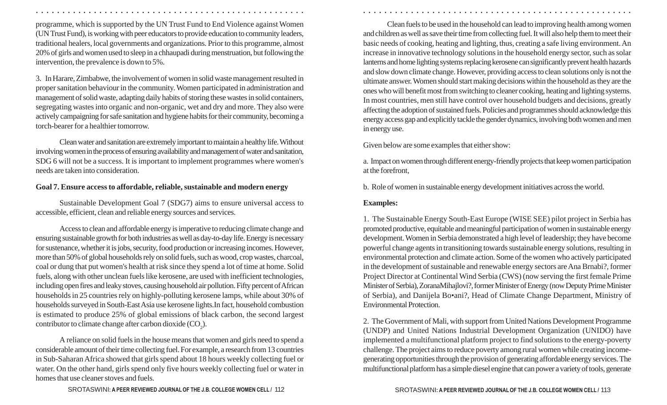programme, which is supported by the UN Trust Fund to End Violence against Women (UN Trust Fund), is working with peer educators to provide education to community leaders, traditional healers, local governments and organizations. Prior to this programme, almost 20% of girls and women used to sleep in a chhaupadi during menstruation, but following the intervention, the prevalence is down to 5%.

3. In Harare, Zimbabwe, the involvement of women in solid waste management resulted in proper sanitation behaviour in the community. Women participated in administration and management of solid waste, adapting daily habits of storing these wastes in solid containers, segregating wastes into organic and non-organic, wet and dry and more. They also were actively campaigning for safe sanitation and hygiene habits for their community, becoming a torch-bearer for a healthier tomorrow.

Clean water and sanitation are extremely important to maintain a healthy life. Without involving women in the process of ensuring availability and management of water and sanitation, SDG 6 will not be a success. It is important to implement programmes where women's needs are taken into consideration.

#### **Goal 7. Ensure access to affordable, reliable, sustainable and modern energy**

Sustainable Development Goal 7 (SDG7) aims to ensure universal access to accessible, efficient, clean and reliable energy sources and services.

Access to clean and affordable energy is imperative to reducing climate change and ensuring sustainable growth for both industries as well as day-to-day life. Energy is necessary for sustenance, whether it is jobs, security, food production or increasing incomes. However, more than 50% of global households rely on solid fuels, such as wood, crop wastes, charcoal, coal or dung that put women's health at risk since they spend a lot of time at home. Solid fuels, along with other unclean fuels like kerosene, are used with inefficient technologies, including open fires and leaky stoves, causing household air pollution. Fifty percent of African households in 25 countries rely on highly-polluting kerosene lamps, while about 30% of households surveyed in South-East Asia use kerosene lights.In fact, household combustion is estimated to produce 25% of global emissions of black carbon, the second largest contributor to climate change after carbon dioxide  $(CO_2)$ .

A reliance on solid fuels in the house means that women and girls need to spend a considerable amount of their time collecting fuel. For example, a research from 13 countries in Sub-Saharan Africa showed that girls spend about 18 hours weekly collecting fuel or water. On the other hand, girls spend only five hours weekly collecting fuel or water in homes that use cleaner stoves and fuels.

Clean fuels to be used in the household can lead to improving health among women and children as well as save their time from collecting fuel. It will also help them to meet their basic needs of cooking, heating and lighting, thus, creating a safe living environment. An increase in innovative technology solutions in the household energy sector, such as solar lanterns and home lighting systems replacing kerosene can significantly prevent health hazards and slow down climate change. However, providing access to clean solutions only is not the ultimate answer. Women should start making decisions within the household as they are the ones who will benefit most from switching to cleaner cooking, heating and lighting systems. In most countries, men still have control over household budgets and decisions, greatly affecting the adoption of sustained fuels. Policies and programmes should acknowledge this energy access gap and explicitly tackle the gender dynamics, involving both women and men in energy use.

Given below are some examples that either show:

a. Impact on women through different energy-friendly projects that keep women participation at the forefront,

b. Role of women in sustainable energy development initiatives across the world.

#### **Examples:**

○ ○ ○ ○ ○ ○ ○ ○ ○ ○ ○ ○ ○ ○ ○ ○ ○ ○ ○ ○ ○ ○ ○ ○ ○ ○ ○ ○ ○ ○ ○ ○ ○ ○ ○ ○ ○ ○ ○ ○ ○ ○ ○ ○ ○ ○ ○ ○ ○ ○ ○ ○ ○ ○ ○ ○ ○ ○ ○ ○ ○ ○ ○ ○ ○ ○ ○ ○ ○ ○ ○ ○ ○ ○ ○ ○ ○ ○ ○ ○ ○ ○ ○ ○ ○ ○ ○ ○ ○ ○ ○ ○ ○ ○ ○ ○ ○ ○ ○ ○ ○ ○

1. The Sustainable Energy South-East Europe (WISE SEE) pilot project in Serbia has promoted productive, equitable and meaningful participation of women in sustainable energy development. Women in Serbia demonstrated a high level of leadership; they have become powerful change agents in transitioning towards sustainable energy solutions, resulting in environmental protection and climate action. Some of the women who actively participated in the development of sustainable and renewable energy sectors are Ana Brnabi?, former Project Director at Continental Wind Serbia (CWS) (now serving the first female Prime Minister of Serbia), ZoranaMihajlovi?, former Minister of Energy (now Deputy Prime Minister of Serbia), and Danijela Bo•ani?, Head of Climate Change Department, Ministry of Environmental Protection.

2. The Government of Mali, with support from United Nations Development Programme (UNDP) and United Nations Industrial Development Organization (UNIDO) have implemented a multifunctional platform project to find solutions to the energy-poverty challenge. The project aims to reduce poverty among rural women while creating incomegenerating opportunities through the provision of generating affordable energy services. The multifunctional platform has a simple diesel engine that can power a variety of tools, generate

SROTASWINI: A PEER REVIEWED JOURNAL OF THE J.B. COLLEGE WOMEN CELL / 112 113 114 112 113 113 SROTASWINI: A PEER REVIEWED JOURNAL OF THE J.B. COLLEGE WOMEN CELL / 113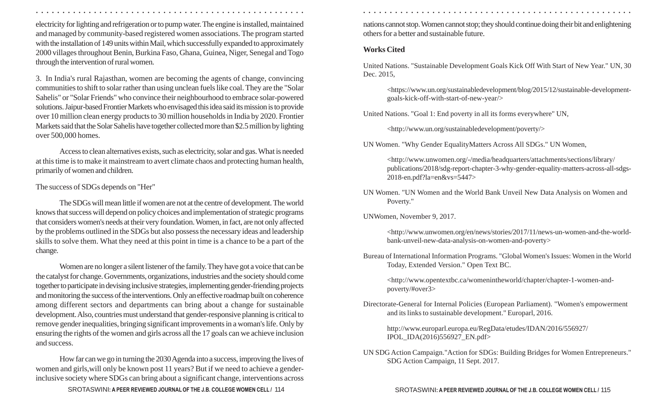electricity for lighting and refrigeration or to pump water. The engine is installed, maintained and managed by community-based registered women associations. The program started with the installation of 149 units within Mail, which successfully expanded to approximately 2000 villages throughout Benin, Burkina Faso, Ghana, Guinea, Niger, Senegal and Togo through the intervention of rural women.

3. In India's rural Rajasthan, women are becoming the agents of change, convincing communities to shift to solar rather than using unclean fuels like coal. They are the "Solar Sahelis" or "Solar Friends" who convince their neighbourhood to embrace solar-powered solutions. Jaipur-based Frontier Markets who envisaged this idea said its mission is to provide over 10 million clean energy products to 30 million households in India by 2020. Frontier Markets said that the Solar Sahelis have together collected more than \$2.5 million by lighting over 500,000 homes.

Access to clean alternatives exists, such as electricity, solar and gas. What is needed at this time is to make it mainstream to avert climate chaos and protecting human health, primarily of women and children.

#### The success of SDGs depends on "Her"

The SDGs will mean little if women are not at the centre of development. The world knows that success will depend on policy choices and implementation of strategic programs that considers women's needs at their very foundation. Women, in fact, are not only affected by the problems outlined in the SDGs but also possess the necessary ideas and leadership skills to solve them. What they need at this point in time is a chance to be a part of the change.

Women are no longer a silent listener of the family. They have got a voice that can be the catalyst for change. Governments, organizations, industries and the society should come together to participate in devising inclusive strategies, implementing gender-friending projects and monitoring the success of the interventions. Only an effective roadmap built on coherence among different sectors and departments can bring about a change for sustainable development. Also, countries must understand that gender-responsive planning is critical to remove gender inequalities, bringing significant improvements in a woman's life. Only by ensuring the rights of the women and girls across all the 17 goals can we achieve inclusion and success.

How far can we go in turning the 2030 Agenda into a success, improving the lives of women and girls,will only be known post 11 years? But if we need to achieve a gender inclusive society where SDGs can bring about a significant change, interventions across

SROTASWINI: A PEER REVIEWED JOURNAL OF THE J.B. COLLEGE WOMEN CELL / 114 **114 11 11 11 11 11 11 11 11 11 11 11 11** 

○ ○ ○ ○ ○ ○ ○ ○ ○ ○ ○ ○ ○ ○ ○ ○ ○ ○ ○ ○ ○ ○ ○ ○ ○ ○ ○ ○ ○ ○ ○ ○ ○ ○ ○ ○ ○ ○ ○ ○ ○ ○ ○ ○ ○ ○ ○ ○ ○ ○ ○ ○ ○ ○ ○ ○ ○ ○ ○ ○ ○ ○ ○ ○ ○ ○ ○ ○ ○ ○ ○ ○ ○ ○ ○ ○ ○ ○ ○ ○ ○ ○ ○ ○ ○ ○ ○ ○ ○ ○ ○ ○ ○ ○ ○ ○ ○ ○ ○ ○ ○ ○

nations cannot stop. Women cannot stop; they should continue doing their bit and enlightening others for a better and sustainable future.

#### **Works Cited**

United Nations. "Sustainable Development Goals Kick Off With Start of New Year." UN, 30 Dec. 2015,

<https://www.un.org/sustainabledevelopment/blog/2015/12/sustainable-developmentgoals-kick-off-with-start-of-new-year/>

United Nations. "Goal 1: End poverty in all its forms everywhere" UN,

<http://www.un.org/sustainabledevelopment/poverty/>

UN Women. "Why Gender EqualityMatters Across All SDGs." UN Women,

<http://www.unwomen.org/-/media/headquarters/attachments/sections/library/ publications/2018/sdg-report-chapter-3-why-gender-equality-matters-across-all-sdgs-2018-en.pdf?la=en&vs=5447>

UN Women. "UN Women and the World Bank Unveil New Data Analysis on Women and Poverty."

UNWomen, November 9, 2017.

<http://www.unwomen.org/en/news/stories/2017/11/news-un-women-and-the-worldbank-unveil-new-data-analysis-on-women-and-poverty>

Bureau of International Information Programs. "Global Women's Issues: Women in the World Today, Extended Version." Open Text BC.

<http://www.opentextbc.ca/womenintheworld/chapter/chapter-1-women-andpoverty/#over3>

Directorate-General for Internal Policies (European Parliament). "Women's empowerment and its links to sustainable development." Europarl, 2016.

http://www.europarl.europa.eu/RegData/etudes/IDAN/2016/556927/ IPOL\_IDA(2016)556927\_EN.pdf>

UN SDG Action Campaign."Action for SDGs: Building Bridges for Women Entrepreneurs." SDG Action Campaign, 11 Sept. 2017.